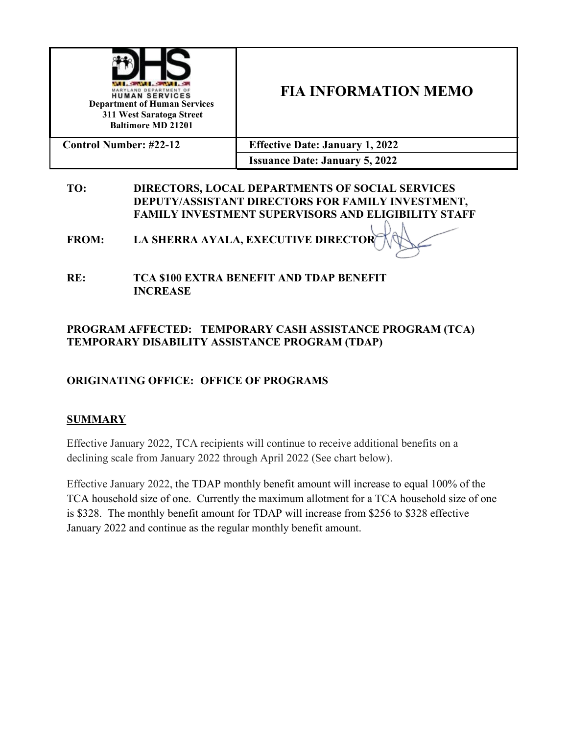

# **FIA INFORMATION MEMO**

| <b>Control Number: #22-12</b> | <b>Effective Date: January 1, 2022</b> |  |  |
|-------------------------------|----------------------------------------|--|--|
|                               | <b>Issuance Date: January 5, 2022</b>  |  |  |

#### **TO: DIRECTORS, LOCAL DEPARTMENTS OF SOCIAL SERVICES DEPUTY/ASSISTANT DIRECTORS FOR FAMILY INVESTMENT, FAMILY INVESTMENT SUPERVISORS AND ELIGIBILITY STAFF**

**FROM: LA SHERRA AYALA, EXECUTIVE DIRECTOR**

**RE: TCA \$100 EXTRA BENEFIT AND TDAP BENEFIT INCREASE**

### **PROGRAM AFFECTED: TEMPORARY CASH ASSISTANCE PROGRAM (TCA) TEMPORARY DISABILITY ASSISTANCE PROGRAM (TDAP)**

# **ORIGINATING OFFICE: OFFICE OF PROGRAMS**

### **SUMMARY**

Effective January 2022, TCA recipients will continue to receive additional benefits on a declining scale from January 2022 through April 2022 (See chart below).

Effective January 2022, the TDAP monthly benefit amount will increase to equal 100% of the TCA household size of one. Currently the maximum allotment for a TCA household size of one is \$328. The monthly benefit amount for TDAP will increase from \$256 to \$328 effective January 2022 and continue as the regular monthly benefit amount.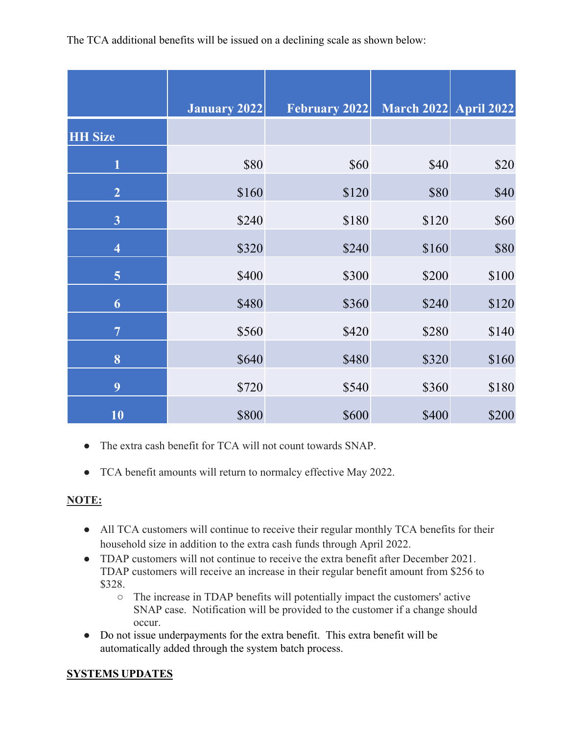The TCA additional benefits will be issued on a declining scale as shown below:

|                         | <b>January 2022</b> | <b>February 2022</b> | <b>March 2022 April 2022</b> |       |
|-------------------------|---------------------|----------------------|------------------------------|-------|
| <b>HH Size</b>          |                     |                      |                              |       |
| $\mathbf{1}$            | \$80                | \$60                 | \$40                         | \$20  |
| $\overline{2}$          | \$160               | \$120                | \$80                         | \$40  |
| $\mathbf{3}$            | \$240               | \$180                | \$120                        | \$60  |
| $\overline{\mathbf{4}}$ | \$320               | \$240                | \$160                        | \$80  |
| $5\overline{)}$         | \$400               | \$300                | \$200                        | \$100 |
| 6                       | \$480               | \$360                | \$240                        | \$120 |
| $\overline{7}$          | \$560               | \$420                | \$280                        | \$140 |
| 8                       | \$640               | \$480                | \$320                        | \$160 |
| 9                       | \$720               | \$540                | \$360                        | \$180 |
| 10                      | \$800               | \$600                | \$400                        | \$200 |

- The extra cash benefit for TCA will not count towards SNAP.
- TCA benefit amounts will return to normalcy effective May 2022.

# **NOTE:**

- All TCA customers will continue to receive their regular monthly TCA benefits for their household size in addition to the extra cash funds through April 2022.
- TDAP customers will not continue to receive the extra benefit after December 2021. TDAP customers will receive an increase in their regular benefit amount from \$256 to \$328.
	- The increase in TDAP benefits will potentially impact the customers' active SNAP case. Notification will be provided to the customer if a change should occur.
- Do not issue underpayments for the extra benefit. This extra benefit will be automatically added through the system batch process.

# **SYSTEMS UPDATES**